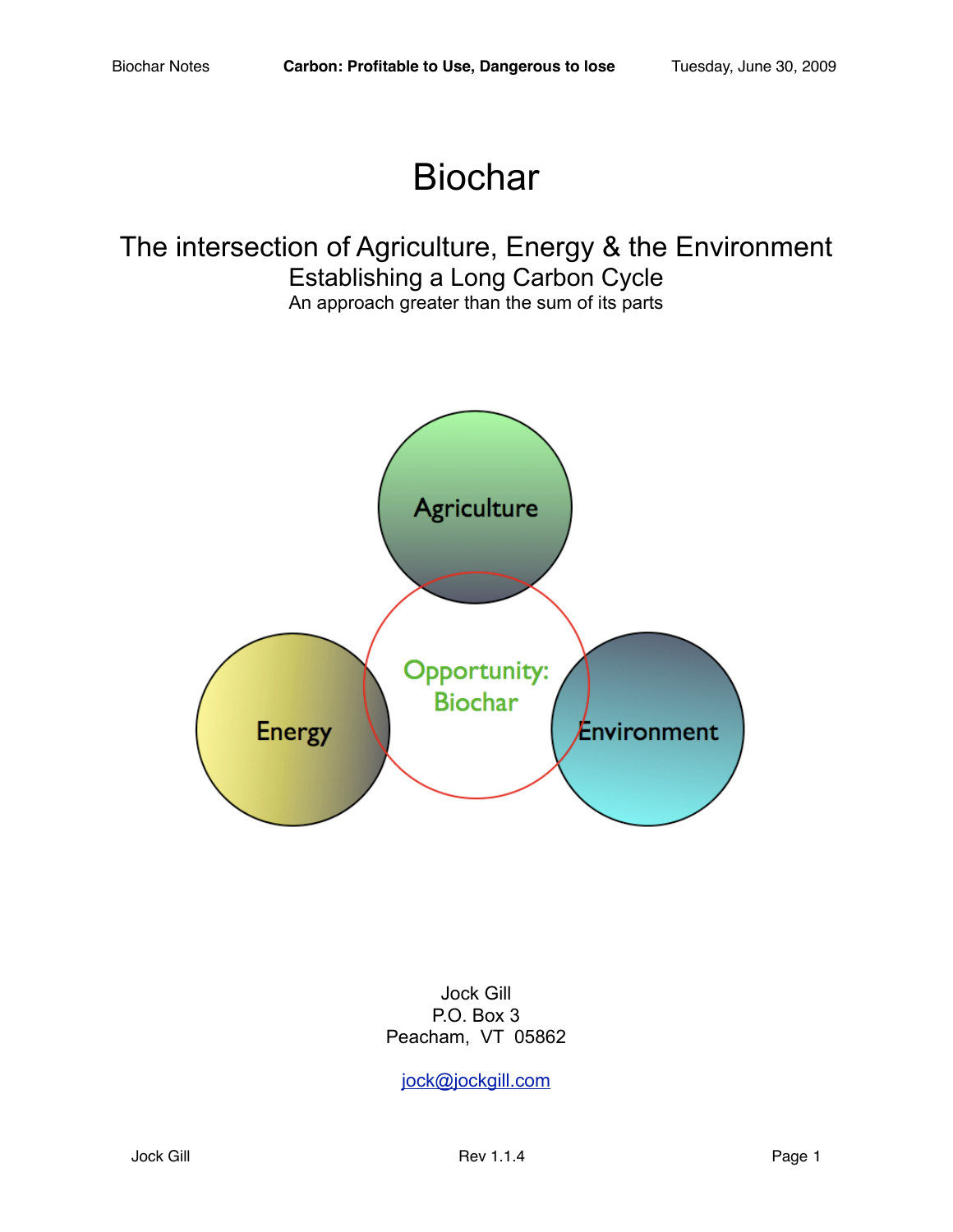# Biochar

# The intersection of Agriculture, Energy & the Environment Establishing a Long Carbon Cycle An approach greater than the sum of its parts



Jock Gill P.O. Box 3 Peacham, VT 05862

[jock@jockgill.com](mailto:jock@jockgill.com)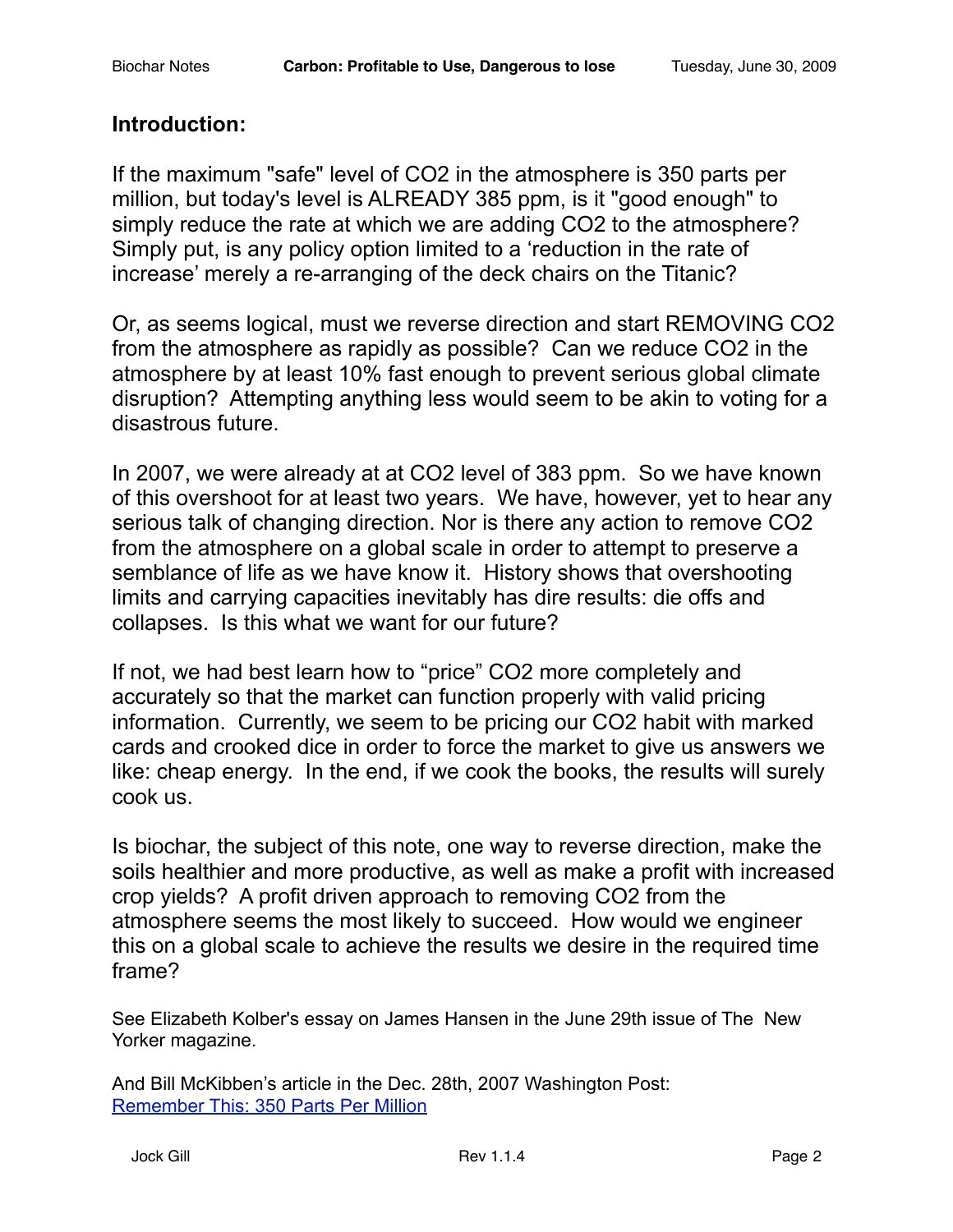## **Introduction:**

If the maximum "safe" level of CO2 in the atmosphere is 350 parts per million, but today's level is ALREADY 385 ppm, is it "good enough" to simply reduce the rate at which we are adding CO2 to the atmosphere? Simply put, is any policy option limited to a 'reduction in the rate of increase' merely a re-arranging of the deck chairs on the Titanic?

Or, as seems logical, must we reverse direction and start REMOVING CO2 from the atmosphere as rapidly as possible? Can we reduce CO2 in the atmosphere by at least 10% fast enough to prevent serious global climate disruption? Attempting anything less would seem to be akin to voting for a disastrous future.

In 2007, we were already at at CO2 level of 383 ppm. So we have known of this overshoot for at least two years. We have, however, yet to hear any serious talk of changing direction. Nor is there any action to remove CO2 from the atmosphere on a global scale in order to attempt to preserve a semblance of life as we have know it. History shows that overshooting limits and carrying capacities inevitably has dire results: die offs and collapses. Is this what we want for our future?

If not, we had best learn how to "price" CO2 more completely and accurately so that the market can function properly with valid pricing information. Currently, we seem to be pricing our CO2 habit with marked cards and crooked dice in order to force the market to give us answers we like: cheap energy. In the end, if we cook the books, the results will surely cook us.

Is biochar, the subject of this note, one way to reverse direction, make the soils healthier and more productive, as well as make a profit with increased crop yields? A profit driven approach to removing CO2 from the atmosphere seems the most likely to succeed. How would we engineer this on a global scale to achieve the results we desire in the required time frame?

See Elizabeth Kolber's essay on James Hansen in the June 29th issue of The New Yorker magazine.

And Bill McKibben's article in the Dec. 28th, 2007 Washington Post: [Remember This: 350 Parts Per Million](http://www.washingtonpost.com/wp-dyn/content/article/2007/12/27/AR2007122701942.html)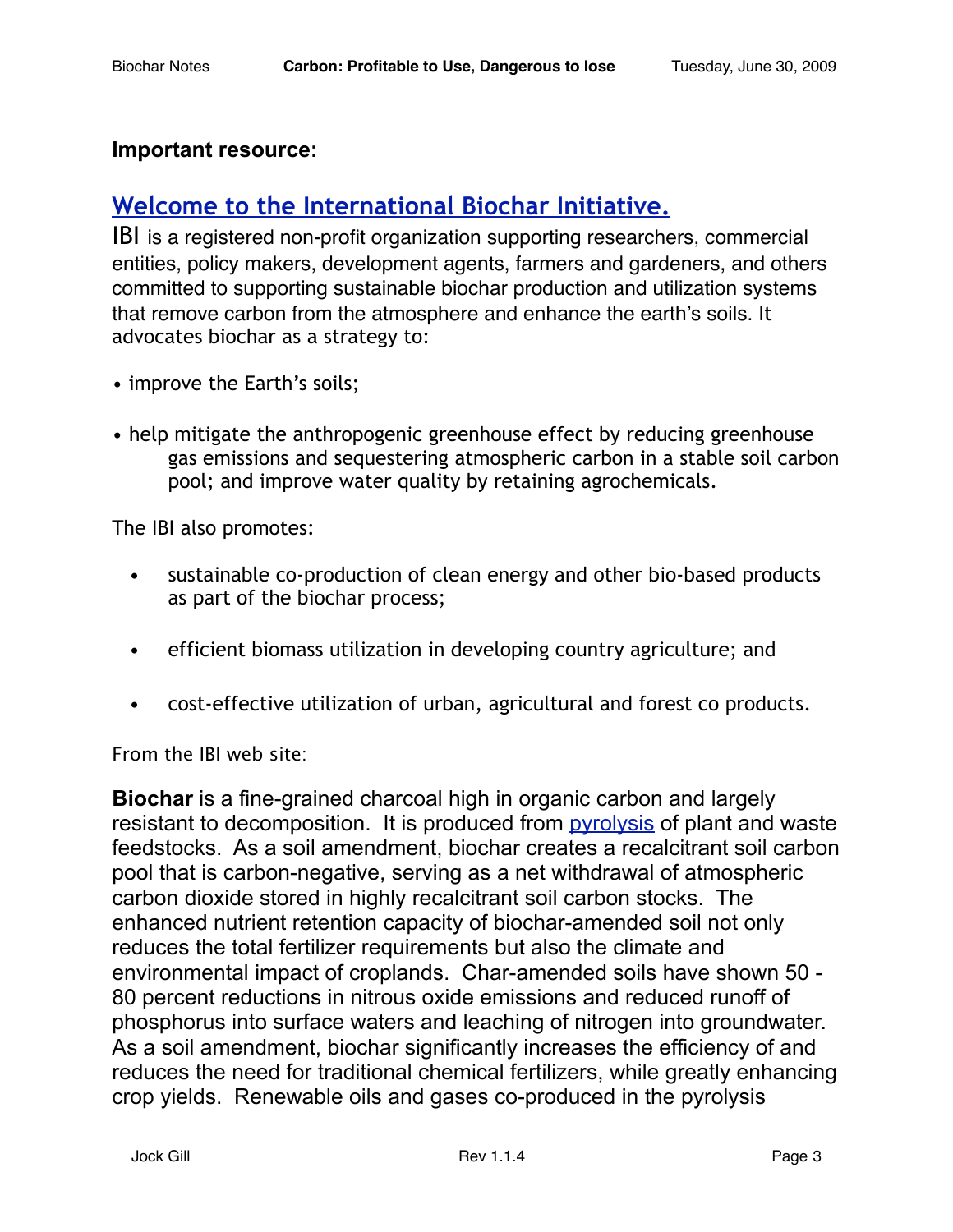#### **Important resource:**

# **Welcome to the [International Biochar Initiative.](http://www.biochar-international.org/)**

IBI is a registered non-profit organization supporting researchers, commercial entities, policy makers, development agents, farmers and gardeners, and others committed to supporting sustainable biochar production and utilization systems that remove carbon from the atmosphere and enhance the earth's soils. It advocates biochar as a strategy to:

- improve the Earth's soils;
- help mitigate the anthropogenic greenhouse effect by reducing greenhouse gas emissions and sequestering atmospheric carbon in a stable soil carbon pool; and improve water quality by retaining agrochemicals.

The IBI also promotes:

- sustainable co-production of clean energy and other bio-based products as part of the biochar process;
- efficient biomass utilization in developing country agriculture; and
- cost-effective utilization of urban, agricultural and forest co products.

From the IBI web site:

**Biochar** is a fine-grained charcoal high in organic carbon and largely resistant to decomposition. It is produced from [pyrolysis](http://en.wikipedia.org/wiki/Pyrolysis) of plant and waste feedstocks. As a soil amendment, biochar creates a recalcitrant soil carbon pool that is carbon-negative, serving as a net withdrawal of atmospheric carbon dioxide stored in highly recalcitrant soil carbon stocks. The enhanced nutrient retention capacity of biochar-amended soil not only reduces the total fertilizer requirements but also the climate and environmental impact of croplands. Char-amended soils have shown 50 - 80 percent reductions in nitrous oxide emissions and reduced runoff of phosphorus into surface waters and leaching of nitrogen into groundwater. As a soil amendment, biochar significantly increases the efficiency of and reduces the need for traditional chemical fertilizers, while greatly enhancing crop yields. Renewable oils and gases co-produced in the pyrolysis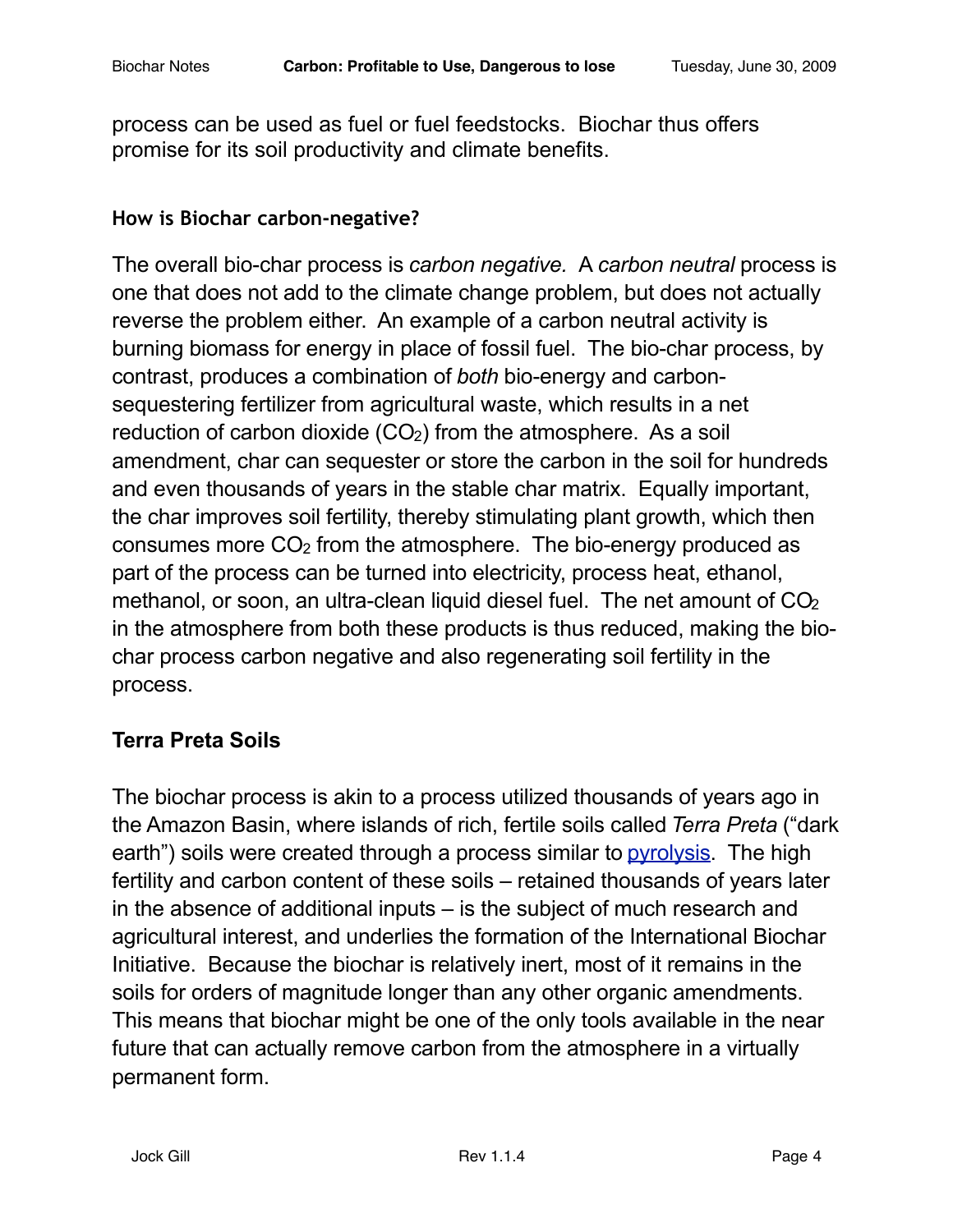process can be used as fuel or fuel feedstocks. Biochar thus offers promise for its soil productivity and climate benefits.

#### **How is Biochar carbon-negative?**

The overall bio-char process is *carbon negative.* A *carbon neutral* process is one that does not add to the climate change problem, but does not actually reverse the problem either. An example of a carbon neutral activity is burning biomass for energy in place of fossil fuel. The bio-char process, by contrast, produces a combination of *both* bio-energy and carbonsequestering fertilizer from agricultural waste, which results in a net reduction of carbon dioxide (CO<sub>2</sub>) from the atmosphere. As a soil amendment, char can sequester or store the carbon in the soil for hundreds and even thousands of years in the stable char matrix. Equally important, the char improves soil fertility, thereby stimulating plant growth, which then consumes more CO2 from the atmosphere. The bio-energy produced as part of the process can be turned into electricity, process heat, ethanol, methanol, or soon, an ultra-clean liquid diesel fuel. The net amount of CO<sub>2</sub> in the atmosphere from both these products is thus reduced, making the biochar process carbon negative and also regenerating soil fertility in the process.

## **Terra Preta Soils**

The biochar process is akin to a process utilized thousands of years ago in the Amazon Basin, where islands of rich, fertile soils called *Terra Preta* ("dark earth") soils were created through a process similar to [pyrolysis.](http://en.wikipedia.org/wiki/Pyrolysis) The high fertility and carbon content of these soils – retained thousands of years later in the absence of additional inputs – is the subject of much research and agricultural interest, and underlies the formation of the International Biochar Initiative. Because the biochar is relatively inert, most of it remains in the soils for orders of magnitude longer than any other organic amendments. This means that biochar might be one of the only tools available in the near future that can actually remove carbon from the atmosphere in a virtually permanent form.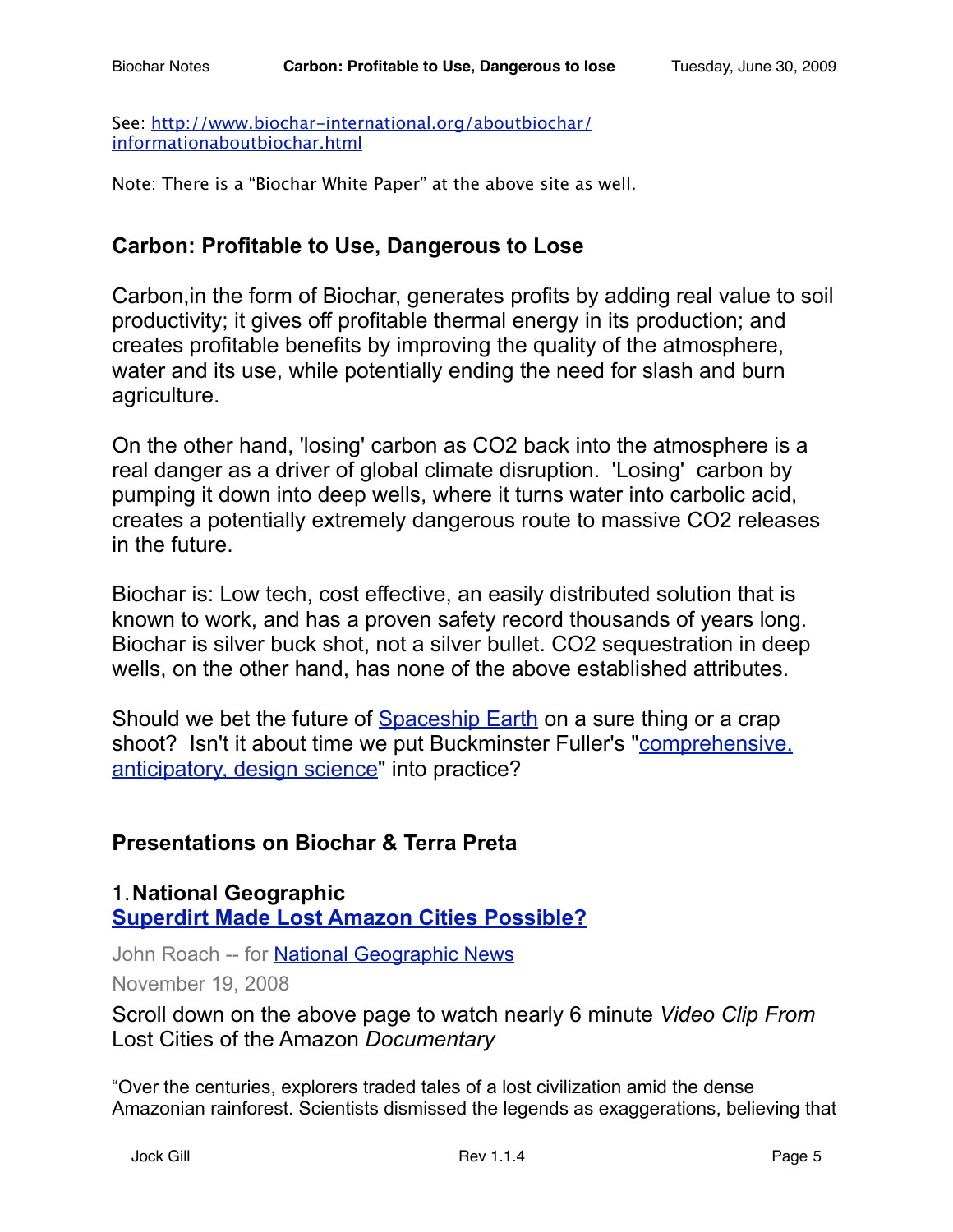See: [http://www.biochar-international.org/aboutbiochar/](http://www.biochar-international.org/aboutbiochar/informationaboutbiochar.html) [informationaboutbiochar.html](http://www.biochar-international.org/aboutbiochar/informationaboutbiochar.html)

Note: There is a "Biochar White Paper" at the above site as well.

## **Carbon: Profitable to Use, Dangerous to Lose**

Carbon,in the form of Biochar, generates profits by adding real value to soil productivity; it gives off profitable thermal energy in its production; and creates profitable benefits by improving the quality of the atmosphere, water and its use, while potentially ending the need for slash and burn agriculture.

On the other hand, 'losing' carbon as CO2 back into the atmosphere is a real danger as a driver of global climate disruption. 'Losing' carbon by pumping it down into deep wells, where it turns water into carbolic acid, creates a potentially extremely dangerous route to massive CO2 releases in the future.

Biochar is: Low tech, cost effective, an easily distributed solution that is known to work, and has a proven safety record thousands of years long. Biochar is silver buck shot, not a silver bullet. CO2 sequestration in deep wells, on the other hand, has none of the above established attributes.

Should we bet the future of [Spaceship Earth](http://en.wikipedia.org/wiki/Spaceship_Earth) on a sure thing or a crap shoot? Isn't it about time we put Buckminster Fuller's "[comprehensive,](http://www.bfi.org/our_programs/who_is_buckminster_fuller/design_science/eight_strategies_for_comprehensive_anticipatory_design_science)  [anticipatory, design science"](http://www.bfi.org/our_programs/who_is_buckminster_fuller/design_science/eight_strategies_for_comprehensive_anticipatory_design_science) into practice?

### **Presentations on Biochar & Terra Preta**

1.**National Geographic [Superdirt Made Lost Amazon Cities Possible?](http://news.nationalgeographic.com/news/2008/11/081119-lost-cities-amazon.html)**

John Roach -- for **National Geographic News** 

November 19, 2008

Scroll down on the above page to watch nearly 6 minute *Video Clip From*  Lost Cities of the Amazon *Documentary*

"Over the centuries, explorers traded tales of a lost civilization amid the dense Amazonian rainforest. Scientists dismissed the legends as exaggerations, believing that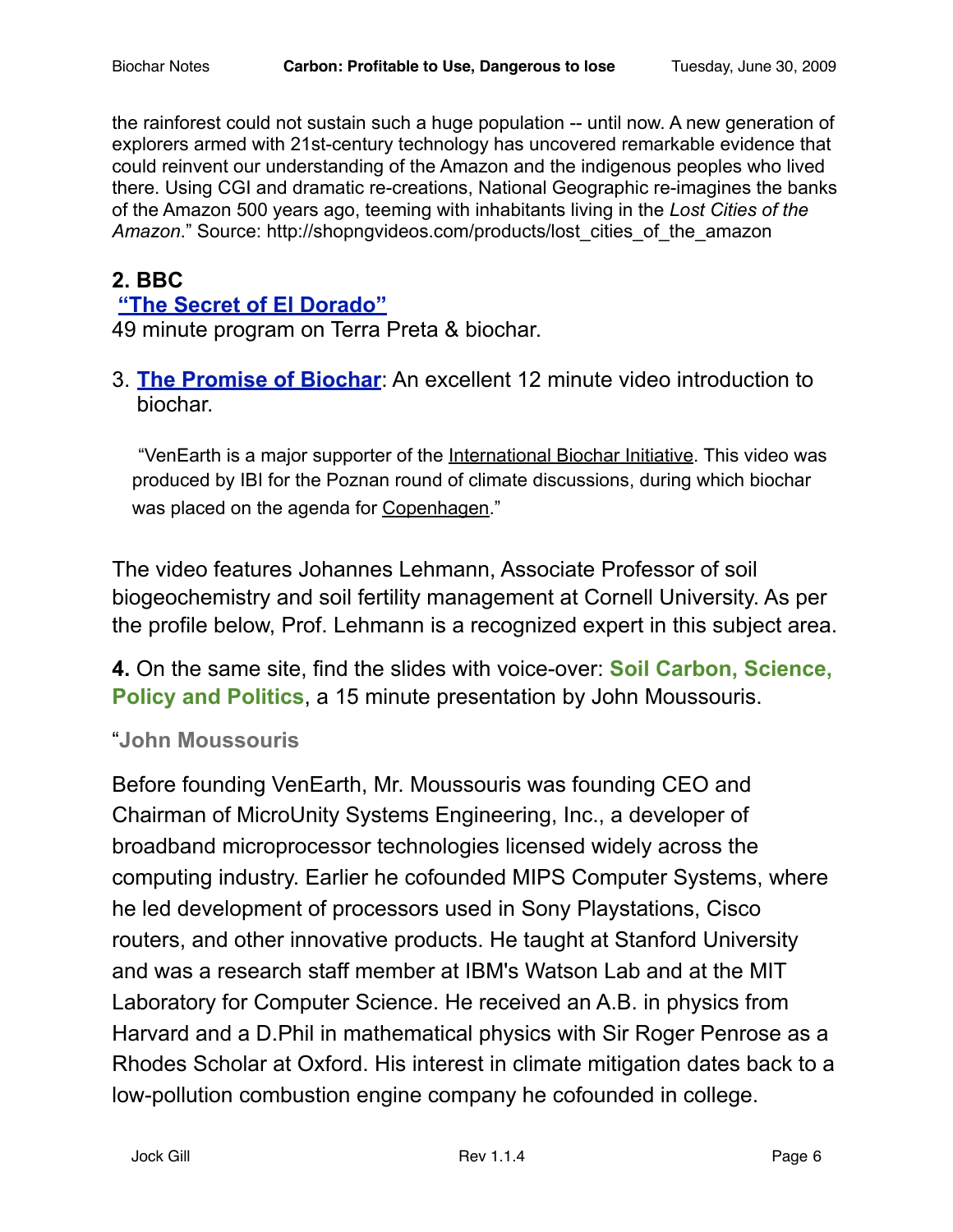the rainforest could not sustain such a huge population -- until now. A new generation of explorers armed with 21st-century technology has uncovered remarkable evidence that could reinvent our understanding of the Amazon and the indigenous peoples who lived there. Using CGI and dramatic re-creations, National Geographic re-imagines the banks of the Amazon 500 years ago, teeming with inhabitants living in the *Lost Cities of the Amazon*." Source: http://shopngvideos.com/products/lost\_cities\_of\_the\_amazon

## **2. BBC**

#### **["The Secret of El Dorado"](http://video.google.com/videoplay?docid=8993313723654914866)**

49 minute program on Terra Preta & biochar.

3. **[The Promise of Biochar](http://www.venearth.com/)**: An excellent 12 minute video introduction to biochar.

"VenEarth is a major supporter of the [International Biochar Initiative.](http://www.biochar-international.org/) This video was produced by IBI for the Poznan round of climate discussions, during which biochar was placed on the agenda for [Copenhagen.](http://unfccc.int/meetings/ad_hoc_working_groups/lca/items/4578.php)"

The video features Johannes Lehmann, Associate Professor of soil biogeochemistry and soil fertility management at Cornell University. As per the profile below, Prof. Lehmann is a recognized expert in this subject area.

**4.** On the same site, find the slides with voice-over: **Soil Carbon, Science, Policy and Politics**, a 15 minute presentation by John Moussouris.

#### "**John Moussouris**

Before founding VenEarth, Mr. Moussouris was founding CEO and Chairman of MicroUnity Systems Engineering, Inc., a developer of broadband microprocessor technologies licensed widely across the computing industry. Earlier he cofounded MIPS Computer Systems, where he led development of processors used in Sony Playstations, Cisco routers, and other innovative products. He taught at Stanford University and was a research staff member at IBM's Watson Lab and at the MIT Laboratory for Computer Science. He received an A.B. in physics from Harvard and a D.Phil in mathematical physics with Sir Roger Penrose as a Rhodes Scholar at Oxford. His interest in climate mitigation dates back to a low-pollution combustion engine company he cofounded in college.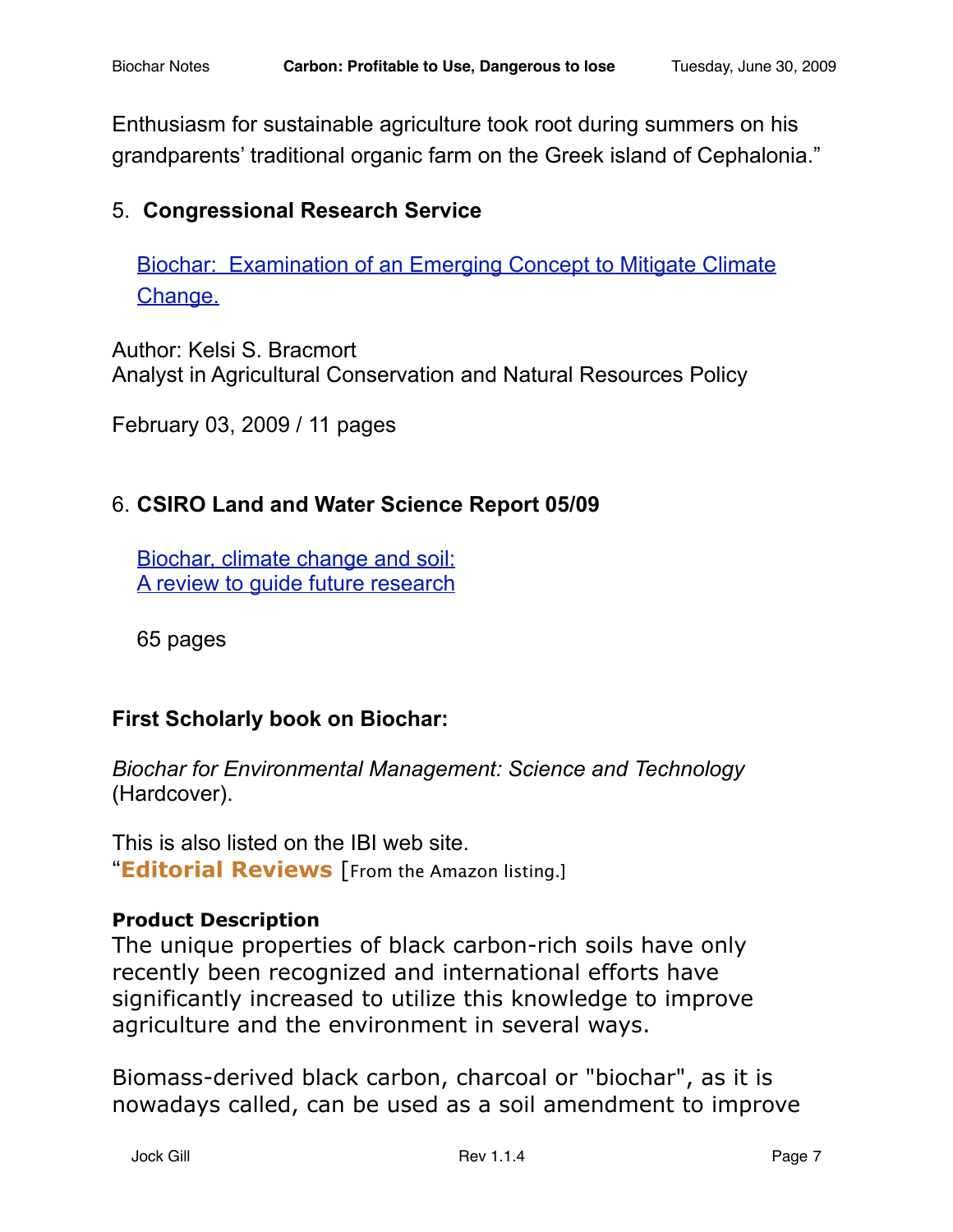Enthusiasm for sustainable agriculture took root during summers on his grandparents' traditional organic farm on the Greek island of Cephalonia."

## 5. **Congressional Research Service**

[Biochar: Examination of an Emerging Concept to Mitigate Climate](http://assets.opencrs.com/rpts/R40186_20090203.pdf)  [Change.](http://assets.opencrs.com/rpts/R40186_20090203.pdf)

Author: Kelsi S. Bracmort Analyst in Agricultural Conservation and Natural Resources Policy

February 03, 2009 / 11 pages

## 6. **CSIRO Land and Water Science Report 05/09**

[Biochar, climate change and soil:](http://www.csiro.au/files/files/poei.pdf) [A review to guide future research](http://www.csiro.au/files/files/poei.pdf)

65 pages

## **First Scholarly book on Biochar:**

*Biochar for Environmental Management: Science and Technology* (Hardcover).

This is also listed on the IBI web site. "**Editorial Reviews** [From the Amazon listing.]

#### **Product Description**

The unique properties of black carbon-rich soils have only recently been recognized and international efforts have significantly increased to utilize this knowledge to improve agriculture and the environment in several ways.

Biomass-derived black carbon, charcoal or "biochar", as it is nowadays called, can be used as a soil amendment to improve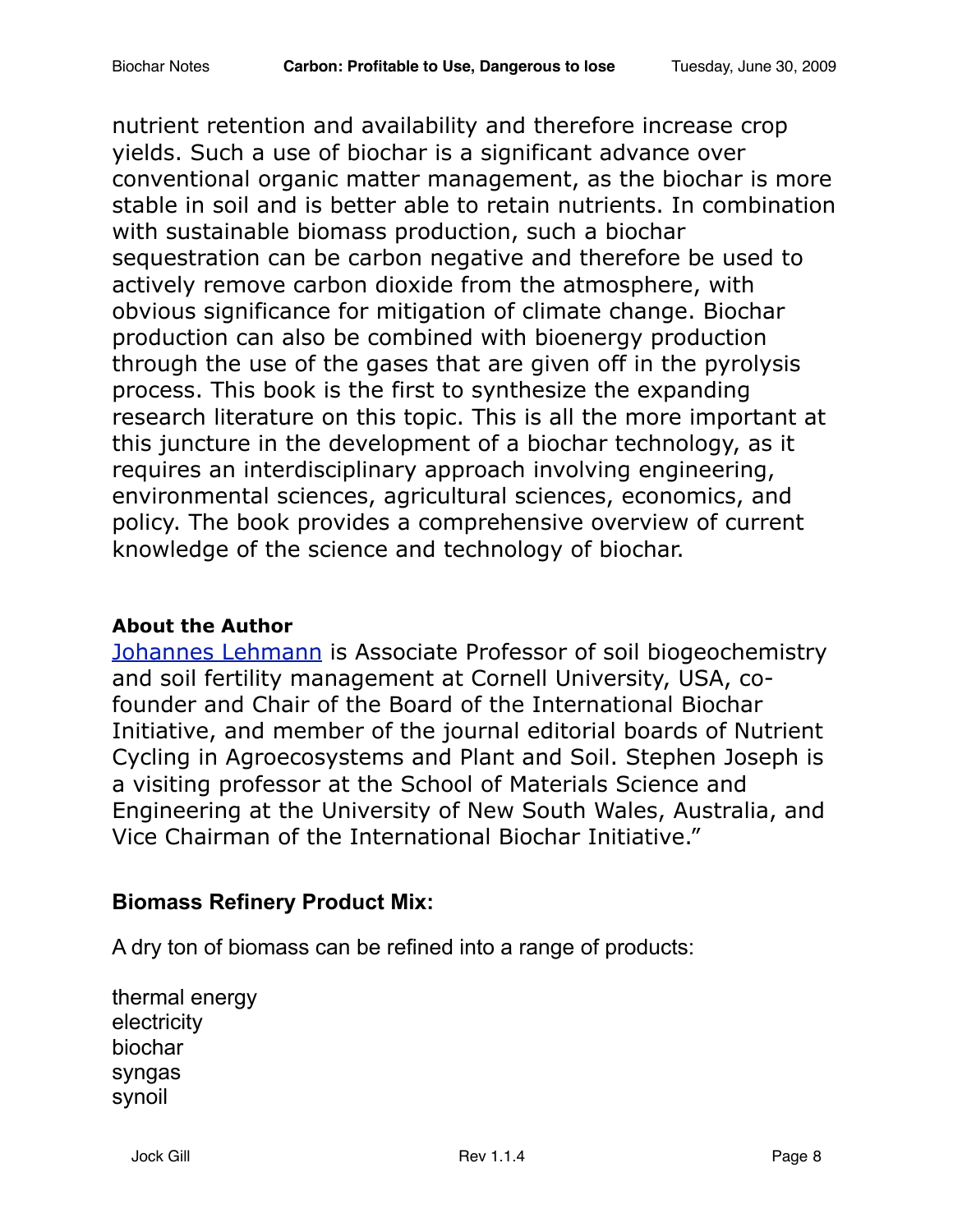nutrient retention and availability and therefore increase crop yields. Such a use of biochar is a significant advance over conventional organic matter management, as the biochar is more stable in soil and is better able to retain nutrients. In combination with sustainable biomass production, such a biochar sequestration can be carbon negative and therefore be used to actively remove carbon dioxide from the atmosphere, with obvious significance for mitigation of climate change. Biochar production can also be combined with bioenergy production through the use of the gases that are given off in the pyrolysis process. This book is the first to synthesize the expanding research literature on this topic. This is all the more important at this juncture in the development of a biochar technology, as it requires an interdisciplinary approach involving engineering, environmental sciences, agricultural sciences, economics, and policy. The book provides a comprehensive overview of current knowledge of the science and technology of biochar.

#### **About the Author**

[Johannes Lehmann](http://www.css.cornell.edu/faculty/lehmann/index.html) is Associate Professor of soil biogeochemistry and soil fertility management at Cornell University, USA, cofounder and Chair of the Board of the International Biochar Initiative, and member of the journal editorial boards of Nutrient Cycling in Agroecosystems and Plant and Soil. Stephen Joseph is a visiting professor at the School of Materials Science and Engineering at the University of New South Wales, Australia, and Vice Chairman of the International Biochar Initiative."

## **Biomass Refinery Product Mix:**

A dry ton of biomass can be refined into a range of products:

thermal energy electricity biochar syngas synoil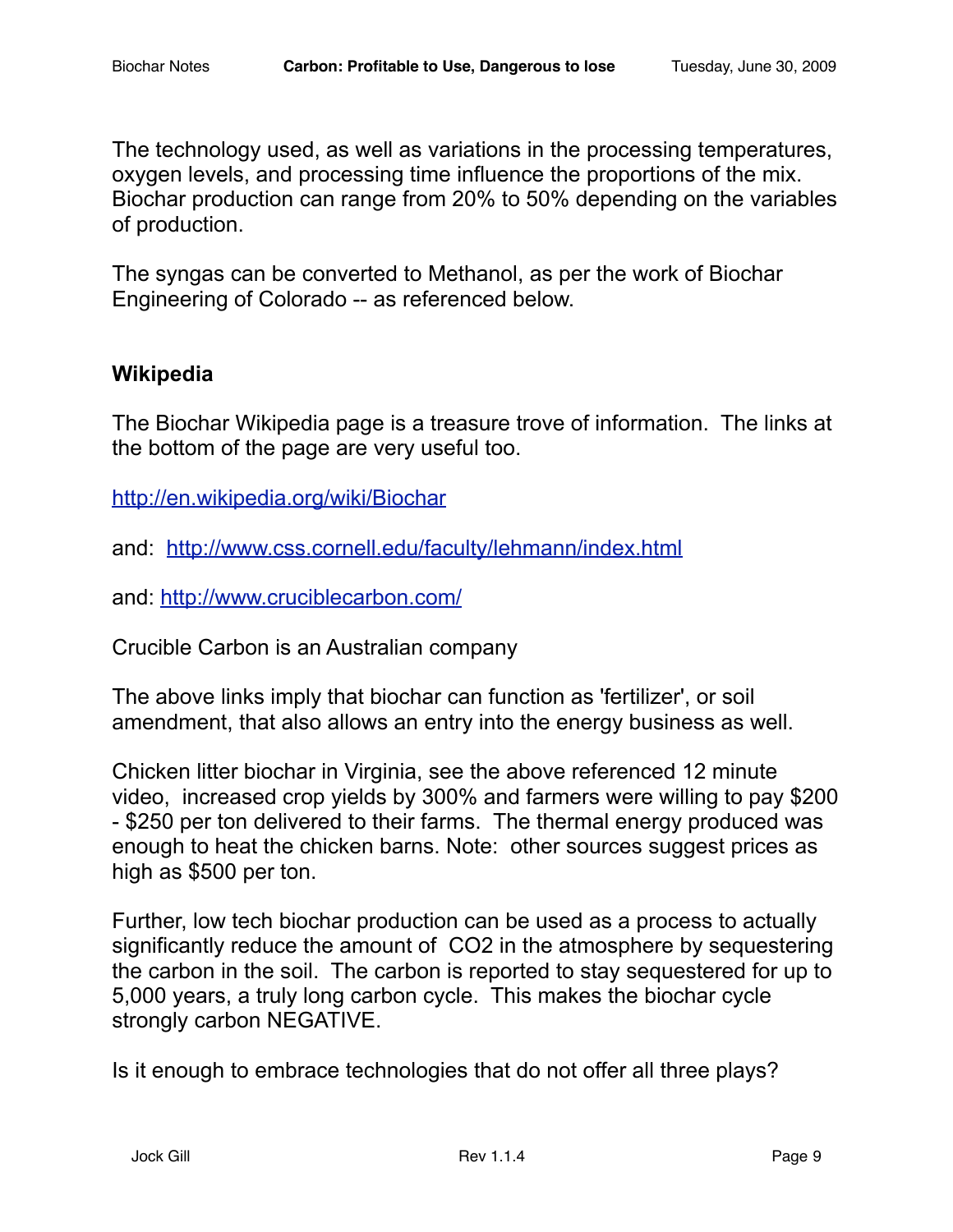The technology used, as well as variations in the processing temperatures, oxygen levels, and processing time influence the proportions of the mix. Biochar production can range from 20% to 50% depending on the variables of production.

The syngas can be converted to Methanol, as per the work of Biochar Engineering of Colorado -- as referenced below.

## **Wikipedia**

The Biochar Wikipedia page is a treasure trove of information. The links at the bottom of the page are very useful too.

<http://en.wikipedia.org/wiki/Biochar>

and: <http://www.css.cornell.edu/faculty/lehmann/index.html>

and:<http://www.cruciblecarbon.com/>

Crucible Carbon is an Australian company

The above links imply that biochar can function as 'fertilizer', or soil amendment, that also allows an entry into the energy business as well.

Chicken litter biochar in Virginia, see the above referenced 12 minute video, increased crop yields by 300% and farmers were willing to pay \$200 - \$250 per ton delivered to their farms. The thermal energy produced was enough to heat the chicken barns. Note: other sources suggest prices as high as \$500 per ton.

Further, low tech biochar production can be used as a process to actually significantly reduce the amount of CO2 in the atmosphere by sequestering the carbon in the soil. The carbon is reported to stay sequestered for up to 5,000 years, a truly long carbon cycle. This makes the biochar cycle strongly carbon NEGATIVE.

Is it enough to embrace technologies that do not offer all three plays?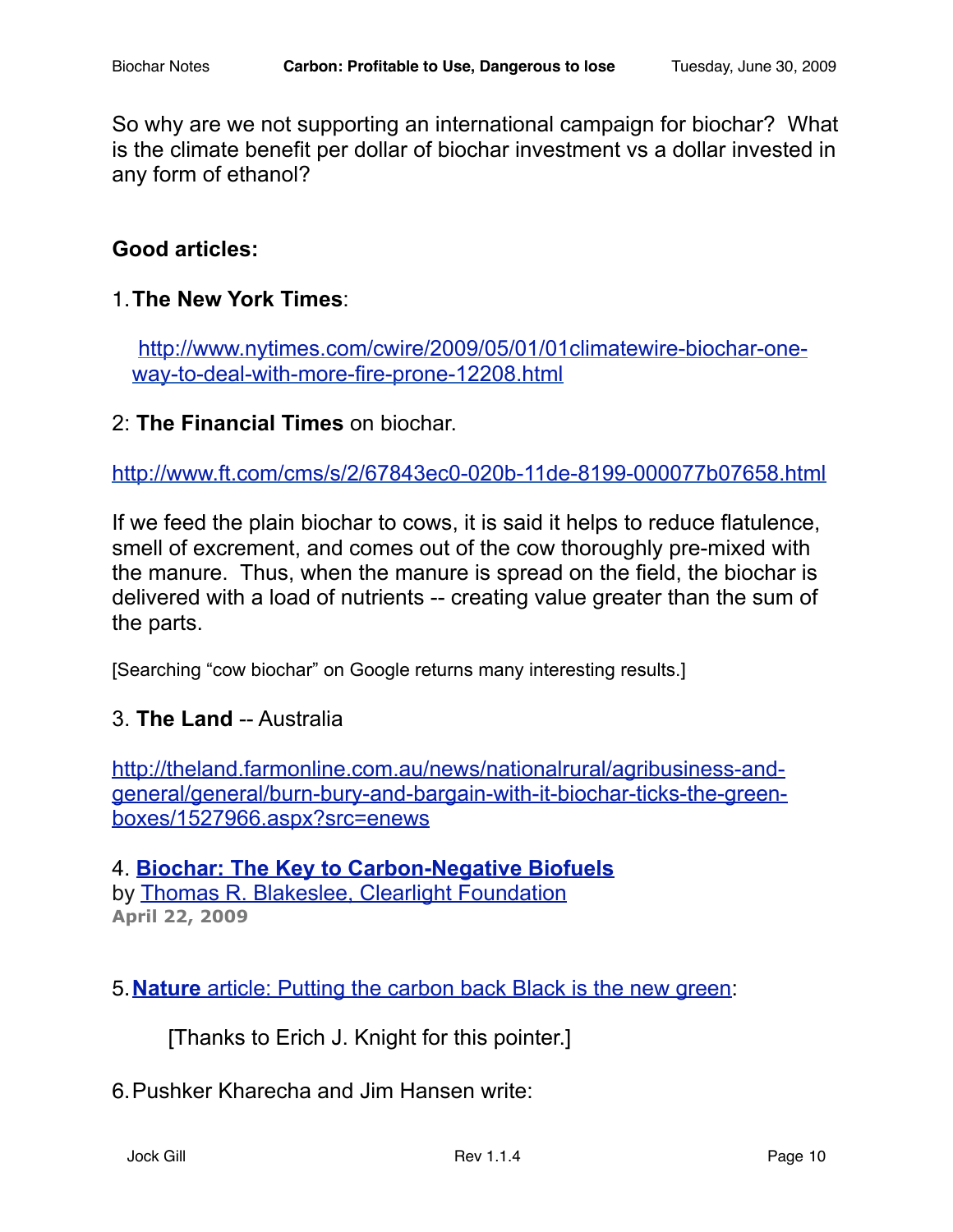So why are we not supporting an international campaign for biochar? What is the climate benefit per dollar of biochar investment vs a dollar invested in any form of ethanol?

#### **Good articles:**

1.**The New York Times**:

[http://www.nytimes.com/cwire/2009/05/01/01climatewire-biochar-one](http://www.nytimes.com/cwire/2009/05/01/01climatewire-biochar-one-way-to-deal-with-more-fire-prone-12208.html)[way-to-deal-with-more-fire-prone-12208.html](http://www.nytimes.com/cwire/2009/05/01/01climatewire-biochar-one-way-to-deal-with-more-fire-prone-12208.html)

2: **The Financial Times** on biochar.

<http://www.ft.com/cms/s/2/67843ec0-020b-11de-8199-000077b07658.html>

If we feed the plain biochar to cows, it is said it helps to reduce flatulence, smell of excrement, and comes out of the cow thoroughly pre-mixed with the manure. Thus, when the manure is spread on the field, the biochar is delivered with a load of nutrients -- creating value greater than the sum of the parts.

[Searching "cow biochar" on Google returns many interesting results.]

#### 3. **The Land** -- Australia

[http://theland.farmonline.com.au/news/nationalrural/agribusiness-and](http://theland.farmonline.com.au/news/nationalrural/agribusiness-and-general/general/burn-bury-and-bargain-with-it-biochar-ticks-the-green-boxes/1527966.aspx?src=enews)[general/general/burn-bury-and-bargain-with-it-biochar-ticks-the-green](http://theland.farmonline.com.au/news/nationalrural/agribusiness-and-general/general/burn-bury-and-bargain-with-it-biochar-ticks-the-green-boxes/1527966.aspx?src=enews)[boxes/1527966.aspx?src=enews](http://theland.farmonline.com.au/news/nationalrural/agribusiness-and-general/general/burn-bury-and-bargain-with-it-biochar-ticks-the-green-boxes/1527966.aspx?src=enews)

4. **[Biochar: The Key to Carbon-Negative Biofuels](http://www.renewableenergyworld.com/rea/news/article/2009/04/biochar-the-key-to-carbon-negative-biofuels)** by [Thomas R. Blakeslee, Clearlight Foundation](http://www.renewableenergyworld.com/rea/author?id=48) **April 22, 2009**

5.**Nature** [article: Putting the carbon back Black is the new green](http://bestenergies.com/downloads/naturemag_200604.pdf):

[Thanks to Erich J. Knight for this pointer.]

#### 6.Pushker Kharecha and Jim Hansen write: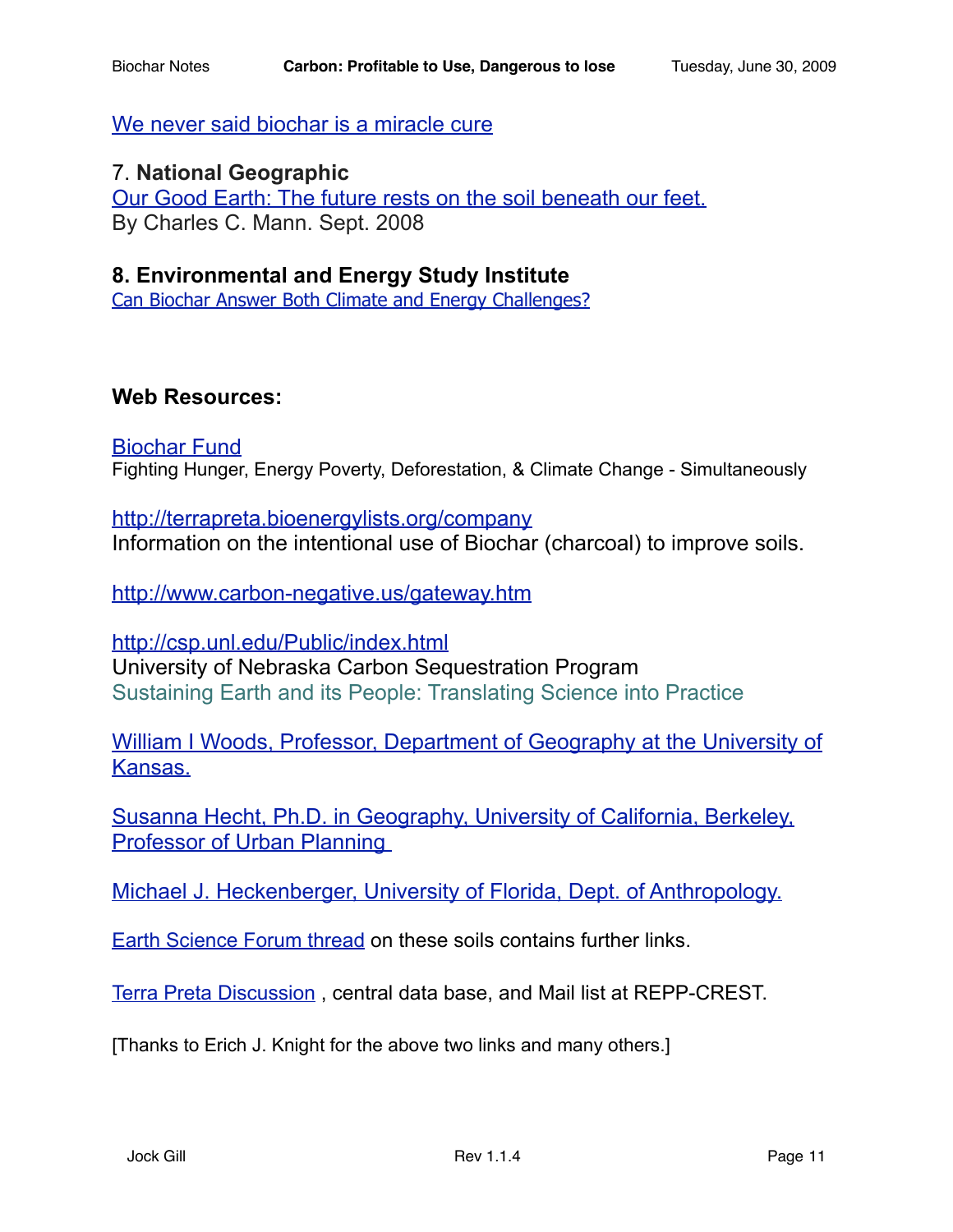[We never said biochar is a miracle cure](http://www.guardian.co.uk/environment/2009/mar/25/hansen-biochar-monbiot-response)

#### 7. **National Geographic**

[Our Good Earth: The future rests on the soil beneath our feet.](http://ngm.nationalgeographic.com/2008/09/soil/mann-text/1) By Charles C. Mann. Sept. 2008

#### **8. Environmental and Energy Study Institute**

[Can Biochar Answer Both Climate and Energy Challenges?](http://www.eesi.org/052209_biochar)

#### **Web Resources:**

[Biochar Fund](http://biocharfund.org/) Fighting Hunger, Energy Poverty, Deforestation, & Climate Change - Simultaneously

<http://terrapreta.bioenergylists.org/company> Information on the intentional use of Biochar (charcoal) to improve soils.

<http://www.carbon-negative.us/gateway.htm>

<http://csp.unl.edu/Public/index.html> University of Nebraska Carbon Sequestration Program Sustaining Earth and its People: Translating Science into Practice

William I Woods, Professor, Department of Geography at the University of [Kansas.](http://www2.ku.edu/~geography/peoplepages/Woods_W.shtml)

[Susanna Hecht, Ph.D. in Geography, University of California, Berkeley,](http://www.spa.ucla.edu/dept.cfm?d=up&s=faculty&f=faculty1.cfm&id=101)  [Professor of Urban Planning](http://www.spa.ucla.edu/dept.cfm?d=up&s=faculty&f=faculty1.cfm&id=101) 

[Michael J. Heckenberger, University of Florida, Dept. of Anthropology.](http://livepage.apple.co)

[Earth Science Forum thread](http://hypography.com/forums/terra-preta/3451-terra-preta-parent-thread-started-all.html) on these soils contains further links.

[Terra Preta Discussion](http://terrapreta.bioenergylists.org/?q=about) , central data base, and Mail list at REPP-CREST.

[Thanks to Erich J. Knight for the above two links and many others.]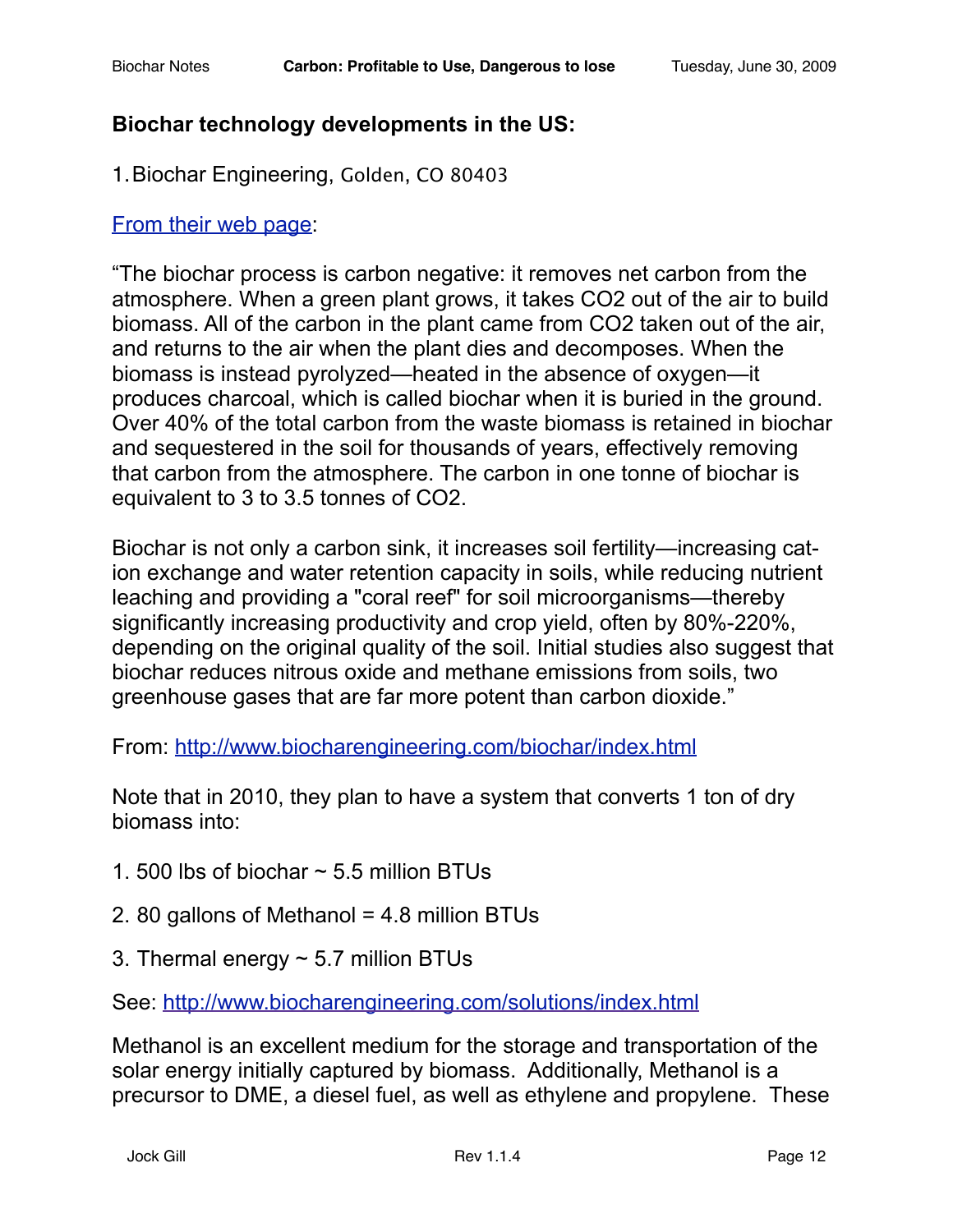## **Biochar technology developments in the US:**

1.Biochar Engineering, Golden, CO 80403

## [From their web page](http://www.biocharengineering.com/):

"The biochar process is carbon negative: it removes net carbon from the atmosphere. When a green plant grows, it takes CO2 out of the air to build biomass. All of the carbon in the plant came from CO2 taken out of the air, and returns to the air when the plant dies and decomposes. When the biomass is instead pyrolyzed—heated in the absence of oxygen—it produces charcoal, which is called biochar when it is buried in the ground. Over 40% of the total carbon from the waste biomass is retained in biochar and sequestered in the soil for thousands of years, effectively removing that carbon from the atmosphere. The carbon in one tonne of biochar is equivalent to 3 to 3.5 tonnes of CO2.

Biochar is not only a carbon sink, it increases soil fertility—increasing cation exchange and water retention capacity in soils, while reducing nutrient leaching and providing a "coral reef" for soil microorganisms—thereby significantly increasing productivity and crop yield, often by 80%-220%, depending on the original quality of the soil. Initial studies also suggest that biochar reduces nitrous oxide and methane emissions from soils, two greenhouse gases that are far more potent than carbon dioxide."

From:<http://www.biocharengineering.com/biochar/index.html>

Note that in 2010, they plan to have a system that converts 1 ton of dry biomass into:

- 1. 500 lbs of biochar  $\sim$  5.5 million BTUs
- 2. 80 gallons of Methanol = 4.8 million BTUs
- 3. Thermal energy  $\sim$  5.7 million BTUs

See: <http://www.biocharengineering.com/solutions/index.html>

Methanol is an excellent medium for the storage and transportation of the solar energy initially captured by biomass. Additionally, Methanol is a precursor to DME, a diesel fuel, as well as ethylene and propylene. These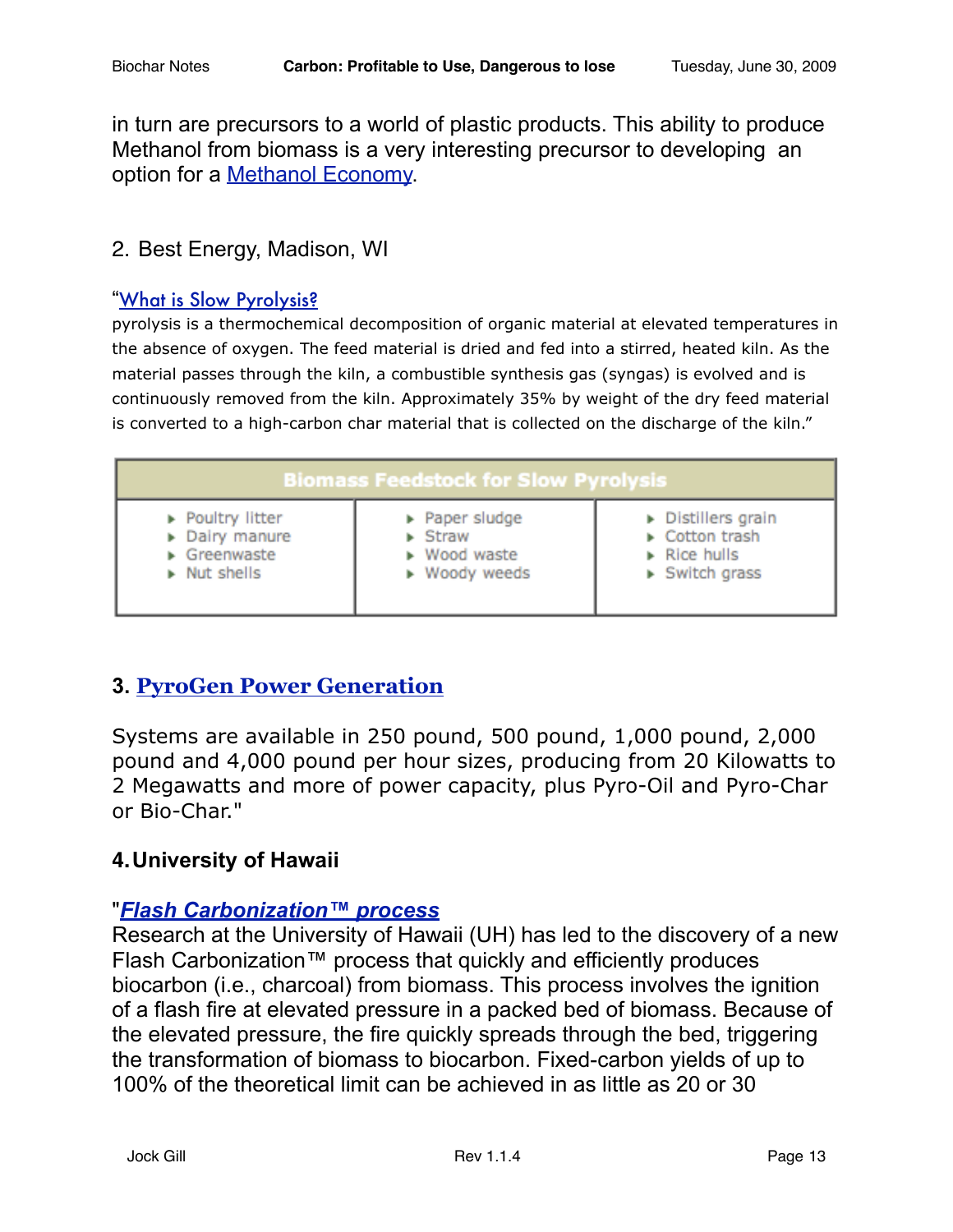in turn are precursors to a world of plastic products. This ability to produce Methanol from biomass is a very interesting precursor to developing an option for a [Methanol Economy.](http://en.wikipedia.org/wiki/Methanol_economy)

## 2. Best Energy, Madison, WI

#### "[What is Slow Pyrolysis?](http://www.bestenergies.com/companies/bestpyrolysis.html)

pyrolysis is a thermochemical decomposition of organic material at elevated temperatures in the absence of oxygen. The feed material is dried and fed into a stirred, heated kiln. As the material passes through the kiln, a combustible synthesis gas (syngas) is evolved and is continuously removed from the kiln. Approximately 35% by weight of the dry feed material is converted to a high-carbon char material that is collected on the discharge of the kiln."

| <b>Biomass Feedstock for Slow Pyrolysis</b> |                        |                               |
|---------------------------------------------|------------------------|-------------------------------|
| Poultry litter                              | Paper sludge           | Distillers grain              |
| Dairy manure                                | $\triangleright$ Straw | Cotton trash                  |
| $\triangleright$ Greenwaste                 | ▶ Wood waste           | $\triangleright$ Rice hulls   |
| $\triangleright$ Nut shells                 | ▶ Woody weeds          | $\triangleright$ Switch grass |

# **3. [PyroGen Power Generation](http://terrapreta.bioenergylists.org/pyrogen053109)**

Systems are available in 250 pound, 500 pound, 1,000 pound, 2,000 pound and 4,000 pound per hour sizes, producing from 20 Kilowatts to 2 Megawatts and more of power capacity, plus Pyro-Oil and Pyro-Char or Bio-Char."

#### **4.University of Hawaii**

#### "*[Flash Carbonization™ process](http://www.hnei.hawaii.edu/bio.r3.asp%23flashcarb)*

Research at the University of Hawaii (UH) has led to the discovery of a new Flash Carbonization™ process that quickly and efficiently produces biocarbon (i.e., charcoal) from biomass. This process involves the ignition of a flash fire at elevated pressure in a packed bed of biomass. Because of the elevated pressure, the fire quickly spreads through the bed, triggering the transformation of biomass to biocarbon. Fixed-carbon yields of up to 100% of the theoretical limit can be achieved in as little as 20 or 30